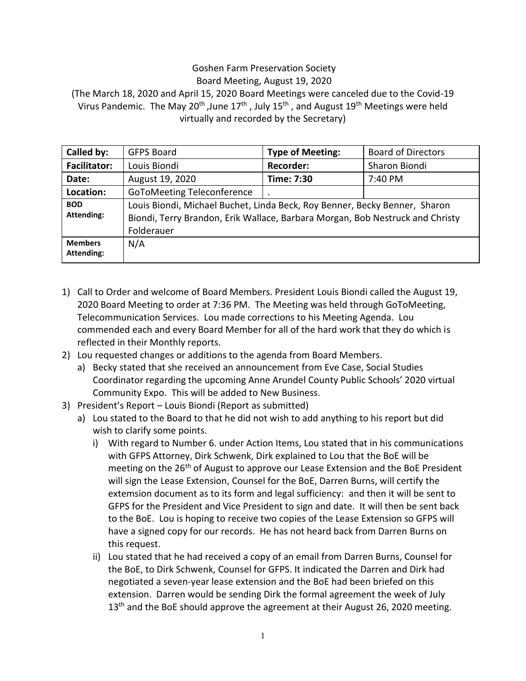## Goshen Farm Preservation Society Board Meeting, August 19, 2020

(The March 18, 2020 and April 15, 2020 Board Meetings were canceled due to the Covid-19 Virus Pandemic. The May 20<sup>th</sup>, June 17<sup>th</sup>, July 15<sup>th</sup>, and August 19<sup>th</sup> Meetings were held virtually and recorded by the Secretary)

| Called by:                   | <b>GFPS Board</b>                                                                                                                                                         | <b>Type of Meeting:</b> | <b>Board of Directors</b> |
|------------------------------|---------------------------------------------------------------------------------------------------------------------------------------------------------------------------|-------------------------|---------------------------|
| <b>Facilitator:</b>          | Louis Biondi                                                                                                                                                              | <b>Recorder:</b>        | Sharon Biondi             |
| Date:                        | August 19, 2020                                                                                                                                                           | Time: 7:30              | 7:40 PM                   |
| Location:                    | <b>GoToMeeting Teleconference</b>                                                                                                                                         |                         |                           |
| <b>BOD</b><br>Attending:     | Louis Biondi, Michael Buchet, Linda Beck, Roy Benner, Becky Benner, Sharon<br>Biondi, Terry Brandon, Erik Wallace, Barbara Morgan, Bob Nestruck and Christy<br>Folderauer |                         |                           |
| <b>Members</b><br>Attending: | N/A                                                                                                                                                                       |                         |                           |

- 1) Call to Order and welcome of Board Members. President Louis Biondi called the August 19, 2020 Board Meeting to order at 7:36 PM. The Meeting was held through GoToMeeting, Telecommunication Services. Lou made corrections to his Meeting Agenda. Lou commended each and every Board Member for all of the hard work that they do which is reflected in their Monthly reports.
- 2) Lou requested changes or additions to the agenda from Board Members.
	- a) Becky stated that she received an announcement from Eve Case, Social Studies Coordinator regarding the upcoming Anne Arundel County Public Schools' 2020 virtual Community Expo. This will be added to New Business.
- 3) President's Report Louis Biondi (Report as submitted)
	- a) Lou stated to the Board to that he did not wish to add anything to his report but did wish to clarify some points.
		- i) With regard to Number 6. under Action Items, Lou stated that in his communications with GFPS Attorney, Dirk Schwenk, Dirk explained to Lou that the BoE will be meeting on the 26<sup>th</sup> of August to approve our Lease Extension and the BoE President will sign the Lease Extension, Counsel for the BoE, Darren Burns, will certify the extemsion document as to its form and legal sufficiency: and then it will be sent to GFPS for the President and Vice President to sign and date. It will then be sent back to the BoE. Lou is hoping to receive two copies of the Lease Extension so GFPS will have a signed copy for our records. He has not heard back from Darren Burns on this request.
		- ii) Lou stated that he had received a copy of an email from Darren Burns, Counsel for the BoE, to Dirk Schwenk, Counsel for GFPS. It indicated the Darren and Dirk had negotiated a seven-year lease extension and the BoE had been briefed on this extension. Darren would be sending Dirk the formal agreement the week of July  $13<sup>th</sup>$  and the BoE should approve the agreement at their August 26, 2020 meeting.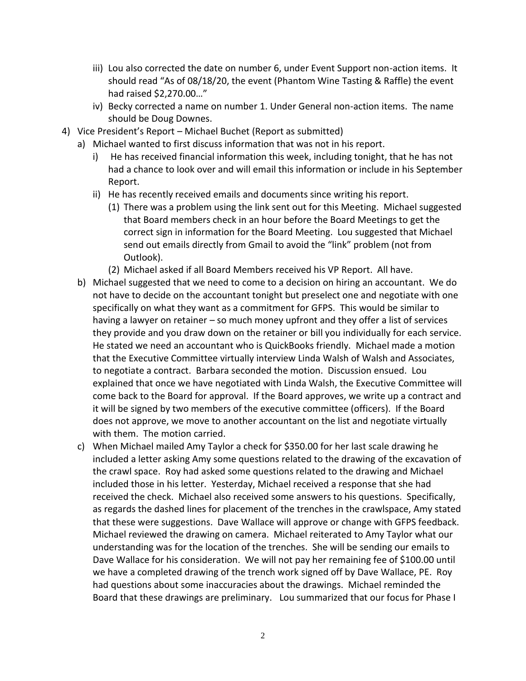- iii) Lou also corrected the date on number 6, under Event Support non-action items. It should read "As of 08/18/20, the event (Phantom Wine Tasting & Raffle) the event had raised \$2,270.00…"
- iv) Becky corrected a name on number 1. Under General non-action items. The name should be Doug Downes.
- 4) Vice President's Report Michael Buchet (Report as submitted)
	- a) Michael wanted to first discuss information that was not in his report.
		- i) He has received financial information this week, including tonight, that he has not had a chance to look over and will email this information or include in his September Report.
		- ii) He has recently received emails and documents since writing his report.
			- (1) There was a problem using the link sent out for this Meeting. Michael suggested that Board members check in an hour before the Board Meetings to get the correct sign in information for the Board Meeting. Lou suggested that Michael send out emails directly from Gmail to avoid the "link" problem (not from Outlook).
			- (2) Michael asked if all Board Members received his VP Report. All have.
	- b) Michael suggested that we need to come to a decision on hiring an accountant. We do not have to decide on the accountant tonight but preselect one and negotiate with one specifically on what they want as a commitment for GFPS. This would be similar to having a lawyer on retainer – so much money upfront and they offer a list of services they provide and you draw down on the retainer or bill you individually for each service. He stated we need an accountant who is QuickBooks friendly. Michael made a motion that the Executive Committee virtually interview Linda Walsh of Walsh and Associates, to negotiate a contract. Barbara seconded the motion. Discussion ensued. Lou explained that once we have negotiated with Linda Walsh, the Executive Committee will come back to the Board for approval. If the Board approves, we write up a contract and it will be signed by two members of the executive committee (officers). If the Board does not approve, we move to another accountant on the list and negotiate virtually with them. The motion carried.
	- c) When Michael mailed Amy Taylor a check for \$350.00 for her last scale drawing he included a letter asking Amy some questions related to the drawing of the excavation of the crawl space. Roy had asked some questions related to the drawing and Michael included those in his letter. Yesterday, Michael received a response that she had received the check. Michael also received some answers to his questions. Specifically, as regards the dashed lines for placement of the trenches in the crawlspace, Amy stated that these were suggestions. Dave Wallace will approve or change with GFPS feedback. Michael reviewed the drawing on camera. Michael reiterated to Amy Taylor what our understanding was for the location of the trenches. She will be sending our emails to Dave Wallace for his consideration. We will not pay her remaining fee of \$100.00 until we have a completed drawing of the trench work signed off by Dave Wallace, PE. Roy had questions about some inaccuracies about the drawings. Michael reminded the Board that these drawings are preliminary. Lou summarized that our focus for Phase I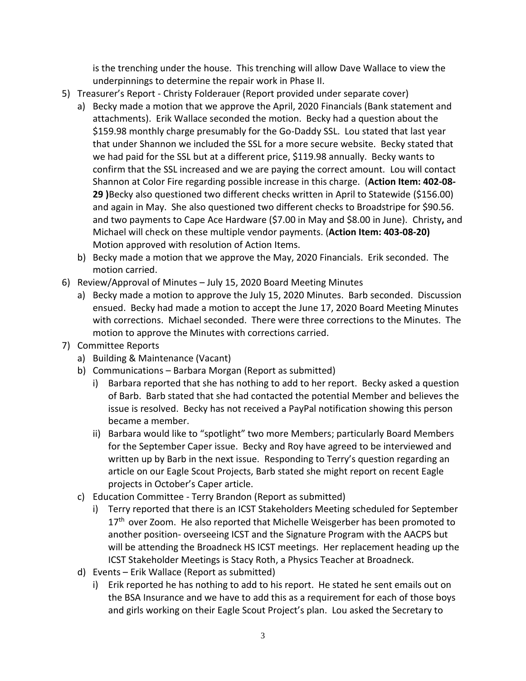is the trenching under the house. This trenching will allow Dave Wallace to view the underpinnings to determine the repair work in Phase II.

- 5) Treasurer's Report Christy Folderauer (Report provided under separate cover)
	- a) Becky made a motion that we approve the April, 2020 Financials (Bank statement and attachments). Erik Wallace seconded the motion. Becky had a question about the \$159.98 monthly charge presumably for the Go-Daddy SSL. Lou stated that last year that under Shannon we included the SSL for a more secure website. Becky stated that we had paid for the SSL but at a different price, \$119.98 annually. Becky wants to confirm that the SSL increased and we are paying the correct amount. Lou will contact Shannon at Color Fire regarding possible increase in this charge. (**Action Item: 402-08- 29 )**Becky also questioned two different checks written in April to Statewide (\$156.00) and again in May. She also questioned two different checks to Broadstripe for \$90.56. and two payments to Cape Ace Hardware (\$7.00 in May and \$8.00 in June). Christy**,** and Michael will check on these multiple vendor payments. (**Action Item: 403-08-20)**  Motion approved with resolution of Action Items.
	- b) Becky made a motion that we approve the May, 2020 Financials. Erik seconded. The motion carried.
- 6) Review/Approval of Minutes July 15, 2020 Board Meeting Minutes
	- a) Becky made a motion to approve the July 15, 2020 Minutes. Barb seconded. Discussion ensued. Becky had made a motion to accept the June 17, 2020 Board Meeting Minutes with corrections. Michael seconded. There were three corrections to the Minutes. The motion to approve the Minutes with corrections carried.
- 7) Committee Reports
	- a) Building & Maintenance (Vacant)
	- b) Communications Barbara Morgan (Report as submitted)
		- i) Barbara reported that she has nothing to add to her report. Becky asked a question of Barb. Barb stated that she had contacted the potential Member and believes the issue is resolved. Becky has not received a PayPal notification showing this person became a member.
		- ii) Barbara would like to "spotlight" two more Members; particularly Board Members for the September Caper issue. Becky and Roy have agreed to be interviewed and written up by Barb in the next issue. Responding to Terry's question regarding an article on our Eagle Scout Projects, Barb stated she might report on recent Eagle projects in October's Caper article.
	- c) Education Committee Terry Brandon (Report as submitted)
		- i) Terry reported that there is an ICST Stakeholders Meeting scheduled for September 17<sup>th</sup> over Zoom. He also reported that Michelle Weisgerber has been promoted to another position- overseeing ICST and the Signature Program with the AACPS but will be attending the Broadneck HS ICST meetings. Her replacement heading up the ICST Stakeholder Meetings is Stacy Roth, a Physics Teacher at Broadneck.
	- d) Events Erik Wallace (Report as submitted)
		- i) Erik reported he has nothing to add to his report. He stated he sent emails out on the BSA Insurance and we have to add this as a requirement for each of those boys and girls working on their Eagle Scout Project's plan. Lou asked the Secretary to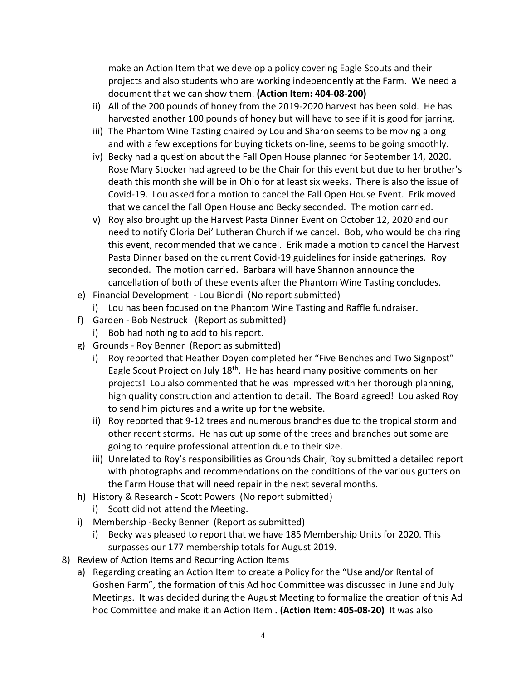make an Action Item that we develop a policy covering Eagle Scouts and their projects and also students who are working independently at the Farm. We need a document that we can show them. **(Action Item: 404-08-200)**

- ii) All of the 200 pounds of honey from the 2019-2020 harvest has been sold. He has harvested another 100 pounds of honey but will have to see if it is good for jarring.
- iii) The Phantom Wine Tasting chaired by Lou and Sharon seems to be moving along and with a few exceptions for buying tickets on-line, seems to be going smoothly.
- iv) Becky had a question about the Fall Open House planned for September 14, 2020. Rose Mary Stocker had agreed to be the Chair for this event but due to her brother's death this month she will be in Ohio for at least six weeks. There is also the issue of Covid-19. Lou asked for a motion to cancel the Fall Open House Event. Erik moved that we cancel the Fall Open House and Becky seconded. The motion carried.
- v) Roy also brought up the Harvest Pasta Dinner Event on October 12, 2020 and our need to notify Gloria Dei' Lutheran Church if we cancel. Bob, who would be chairing this event, recommended that we cancel. Erik made a motion to cancel the Harvest Pasta Dinner based on the current Covid-19 guidelines for inside gatherings. Roy seconded. The motion carried. Barbara will have Shannon announce the cancellation of both of these events after the Phantom Wine Tasting concludes.
- e) Financial Development Lou Biondi (No report submitted)
	- i) Lou has been focused on the Phantom Wine Tasting and Raffle fundraiser.
- f) Garden Bob Nestruck (Report as submitted)
	- i) Bob had nothing to add to his report.
- g) Grounds Roy Benner (Report as submitted)
	- i) Roy reported that Heather Doyen completed her "Five Benches and Two Signpost" Eagle Scout Project on July 18<sup>th</sup>. He has heard many positive comments on her projects! Lou also commented that he was impressed with her thorough planning, high quality construction and attention to detail. The Board agreed! Lou asked Roy to send him pictures and a write up for the website.
	- ii) Roy reported that 9-12 trees and numerous branches due to the tropical storm and other recent storms. He has cut up some of the trees and branches but some are going to require professional attention due to their size.
	- iii) Unrelated to Roy's responsibilities as Grounds Chair, Roy submitted a detailed report with photographs and recommendations on the conditions of the various gutters on the Farm House that will need repair in the next several months.
- h) History & Research Scott Powers (No report submitted)
	- i) Scott did not attend the Meeting.
- i) Membership -Becky Benner (Report as submitted)
	- i) Becky was pleased to report that we have 185 Membership Units for 2020. This surpasses our 177 membership totals for August 2019.
- 8) Review of Action Items and Recurring Action Items
	- a) Regarding creating an Action Item to create a Policy for the "Use and/or Rental of Goshen Farm", the formation of this Ad hoc Committee was discussed in June and July Meetings. It was decided during the August Meeting to formalize the creation of this Ad hoc Committee and make it an Action Item **. (Action Item: 405-08-20)** It was also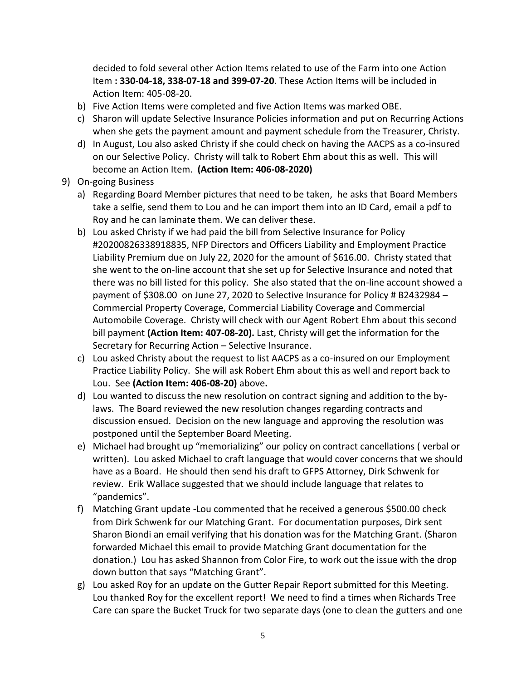decided to fold several other Action Items related to use of the Farm into one Action Item **: 330-04-18, 338-07-18 and 399-07-20**. These Action Items will be included in Action Item: 405-08-20.

- b) Five Action Items were completed and five Action Items was marked OBE.
- c) Sharon will update Selective Insurance Policies information and put on Recurring Actions when she gets the payment amount and payment schedule from the Treasurer, Christy.
- d) In August, Lou also asked Christy if she could check on having the AACPS as a co-insured on our Selective Policy. Christy will talk to Robert Ehm about this as well. This will become an Action Item. **(Action Item: 406-08-2020)**
- 9) On-going Business
	- a) Regarding Board Member pictures that need to be taken, he asks that Board Members take a selfie, send them to Lou and he can import them into an ID Card, email a pdf to Roy and he can laminate them. We can deliver these.
	- b) Lou asked Christy if we had paid the bill from Selective Insurance for Policy #20200826338918835, NFP Directors and Officers Liability and Employment Practice Liability Premium due on July 22, 2020 for the amount of \$616.00. Christy stated that she went to the on-line account that she set up for Selective Insurance and noted that there was no bill listed for this policy. She also stated that the on-line account showed a payment of \$308.00 on June 27, 2020 to Selective Insurance for Policy # B2432984 – Commercial Property Coverage, Commercial Liability Coverage and Commercial Automobile Coverage. Christy will check with our Agent Robert Ehm about this second bill payment **(Action Item: 407-08-20).** Last, Christy will get the information for the Secretary for Recurring Action – Selective Insurance.
	- c) Lou asked Christy about the request to list AACPS as a co-insured on our Employment Practice Liability Policy. She will ask Robert Ehm about this as well and report back to Lou. See **(Action Item: 406-08-20)** above**.**
	- d) Lou wanted to discuss the new resolution on contract signing and addition to the bylaws. The Board reviewed the new resolution changes regarding contracts and discussion ensued. Decision on the new language and approving the resolution was postponed until the September Board Meeting.
	- e) Michael had brought up "memorializing" our policy on contract cancellations ( verbal or written). Lou asked Michael to craft language that would cover concerns that we should have as a Board. He should then send his draft to GFPS Attorney, Dirk Schwenk for review. Erik Wallace suggested that we should include language that relates to "pandemics".
	- f) Matching Grant update -Lou commented that he received a generous \$500.00 check from Dirk Schwenk for our Matching Grant. For documentation purposes, Dirk sent Sharon Biondi an email verifying that his donation was for the Matching Grant. (Sharon forwarded Michael this email to provide Matching Grant documentation for the donation.) Lou has asked Shannon from Color Fire, to work out the issue with the drop down button that says "Matching Grant".
	- g) Lou asked Roy for an update on the Gutter Repair Report submitted for this Meeting. Lou thanked Roy for the excellent report! We need to find a times when Richards Tree Care can spare the Bucket Truck for two separate days (one to clean the gutters and one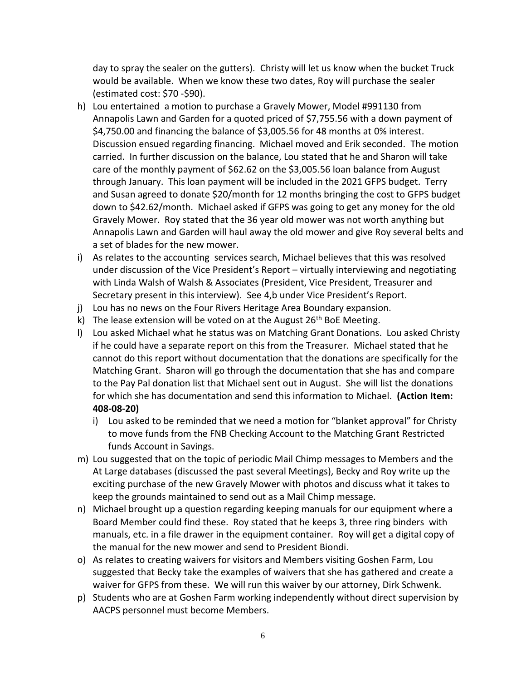day to spray the sealer on the gutters). Christy will let us know when the bucket Truck would be available. When we know these two dates, Roy will purchase the sealer (estimated cost: \$70 -\$90).

- h) Lou entertained a motion to purchase a Gravely Mower, Model #991130 from Annapolis Lawn and Garden for a quoted priced of \$7,755.56 with a down payment of \$4,750.00 and financing the balance of \$3,005.56 for 48 months at 0% interest. Discussion ensued regarding financing. Michael moved and Erik seconded. The motion carried. In further discussion on the balance, Lou stated that he and Sharon will take care of the monthly payment of \$62.62 on the \$3,005.56 loan balance from August through January. This loan payment will be included in the 2021 GFPS budget. Terry and Susan agreed to donate \$20/month for 12 months bringing the cost to GFPS budget down to \$42.62/month. Michael asked if GFPS was going to get any money for the old Gravely Mower. Roy stated that the 36 year old mower was not worth anything but Annapolis Lawn and Garden will haul away the old mower and give Roy several belts and a set of blades for the new mower.
- i) As relates to the accounting services search, Michael believes that this was resolved under discussion of the Vice President's Report – virtually interviewing and negotiating with Linda Walsh of Walsh & Associates (President, Vice President, Treasurer and Secretary present in this interview). See 4,b under Vice President's Report.
- j) Lou has no news on the Four Rivers Heritage Area Boundary expansion.
- k) The lease extension will be voted on at the August  $26<sup>th</sup>$  BoE Meeting.
- l) Lou asked Michael what he status was on Matching Grant Donations. Lou asked Christy if he could have a separate report on this from the Treasurer. Michael stated that he cannot do this report without documentation that the donations are specifically for the Matching Grant. Sharon will go through the documentation that she has and compare to the Pay Pal donation list that Michael sent out in August. She will list the donations for which she has documentation and send this information to Michael. **(Action Item: 408-08-20)**
	- i) Lou asked to be reminded that we need a motion for "blanket approval" for Christy to move funds from the FNB Checking Account to the Matching Grant Restricted funds Account in Savings.
- m) Lou suggested that on the topic of periodic Mail Chimp messages to Members and the At Large databases (discussed the past several Meetings), Becky and Roy write up the exciting purchase of the new Gravely Mower with photos and discuss what it takes to keep the grounds maintained to send out as a Mail Chimp message.
- n) Michael brought up a question regarding keeping manuals for our equipment where a Board Member could find these. Roy stated that he keeps 3, three ring binders with manuals, etc. in a file drawer in the equipment container. Roy will get a digital copy of the manual for the new mower and send to President Biondi.
- o) As relates to creating waivers for visitors and Members visiting Goshen Farm, Lou suggested that Becky take the examples of waivers that she has gathered and create a waiver for GFPS from these. We will run this waiver by our attorney, Dirk Schwenk.
- p) Students who are at Goshen Farm working independently without direct supervision by AACPS personnel must become Members.